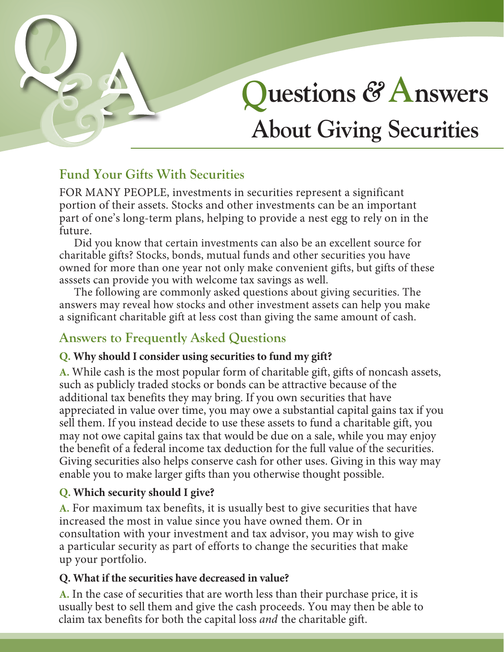# ? **Questions** *&***Answers About Giving Securities**

# **Fund Your Gifts With Securities**

FOR MANY PEOPLE, investments in securities represent a significant portion of their assets. Stocks and other investments can be an important part of one's long-term plans, helping to provide a nest egg to rely on in the future.

Did you know that certain investments can also be an excellent source for charitable gifts? Stocks, bonds, mutual funds and other securities you have owned for more than one year not only make convenient gifts, but gifts of these asssets can provide you with welcome tax savings as well.

The following are commonly asked questions about giving securities. The answers may reveal how stocks and other investment assets can help you make a significant charitable gift at less cost than giving the same amount of cash.

# **Answers to Frequently Asked Questions**

# **Q. Why should I consider using securities to fund my gift?**

**A.** While cash is the most popular form of charitable gift, gifts of noncash assets, such as publicly traded stocks or bonds can be attractive because of the additional tax benefits they may bring. If you own securities that have appreciated in value over time, you may owe a substantial capital gains tax if you sell them. If you instead decide to use these assets to fund a charitable gift, you may not owe capital gains tax that would be due on a sale, while you may enjoy the benefit of a federal income tax deduction for the full value of the securities. Giving securities also helps conserve cash for other uses. Giving in this way may enable you to make larger gifts than you otherwise thought possible.

# **Q. Which security should I give?**

**A.** For maximum tax benefits, it is usually best to give securities that have increased the most in value since you have owned them. Or in consultation with your investment and tax advisor, you may wish to give a particular security as part of efforts to change the securities that make up your portfolio.

## **Q. What if the securities have decreased in value?**

**A.** In the case of securities that are worth less than their purchase price, it is usually best to sell them and give the cash proceeds. You may then be able to claim tax benefits for both the capital loss *and* the charitable gift.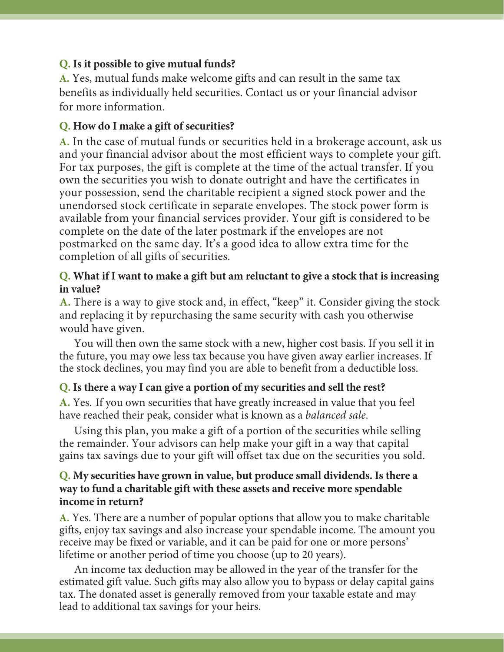#### **Q. Is it possible to give mutual funds?**

**A.** Yes, mutual funds make welcome gifts and can result in the same tax benefits as individually held securities. Contact us or your financial advisor for more information.

#### **Q. How do I make a gift of securities?**

**A.** In the case of mutual funds or securities held in a brokerage account, ask us and your financial advisor about the most efficient ways to complete your gift. For tax purposes, the gift is complete at the time of the actual transfer. If you own the securities you wish to donate outright and have the certificates in your possession, send the charitable recipient a signed stock power and the unendorsed stock certificate in separate envelopes. The stock power form is available from your financial services provider. Your gift is considered to be complete on the date of the later postmark if the envelopes are not postmarked on the same day. It's a good idea to allow extra time for the completion of all gifts of securities.

#### **Q. What if I want to make a gift but am reluctant to give a stock that is increasing in value?**

**A.** There is a way to give stock and, in effect, "keep" it. Consider giving the stock and replacing it by repurchasing the same security with cash you otherwise would have given.

You will then own the same stock with a new, higher cost basis. If you sell it in the future, you may owe less tax because you have given away earlier increases. If the stock declines, you may find you are able to benefit from a deductible loss.

#### **Q. Is there a way I can give a portion of my securities and sell the rest?**

**A.** Yes. If you own securities that have greatly increased in value that you feel have reached their peak, consider what is known as a *balanced sale*.

Using this plan, you make a gift of a portion of the securities while selling the remainder. Your advisors can help make your gift in a way that capital gains tax savings due to your gift will offset tax due on the securities you sold.

#### **Q. My securities have grown in value, but produce small dividends. Is there a way to fund a charitable gift with these assets and receive more spendable income in return?**

**A.** Yes. There are a number of popular options that allow you to make charitable gifts, enjoy tax savings and also increase your spendable income. The amount you receive may be fixed or variable, and it can be paid for one or more persons' lifetime or another period of time you choose (up to 20 years).

An income tax deduction may be allowed in the year of the transfer for the estimated gift value. Such gifts may also allow you to bypass or delay capital gains tax. The donated asset is generally removed from your taxable estate and may lead to additional tax savings for your heirs.